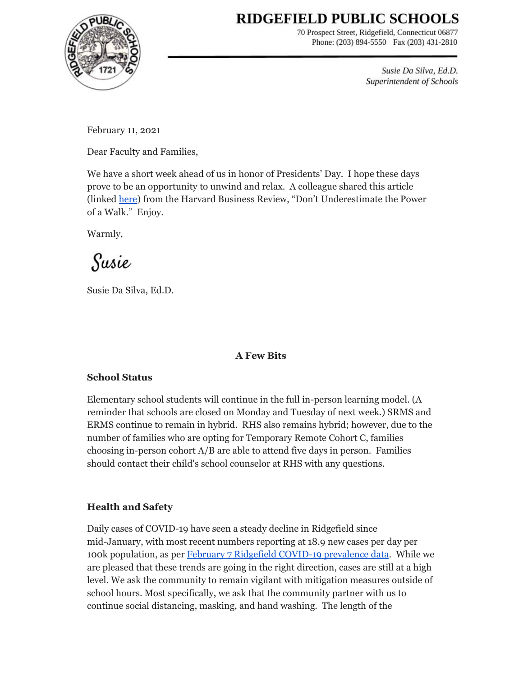# **RIDGEFIELD PUBLIC SCHOOLS**



70 Prospect Street, Ridgefield, Connecticut 06877 Phone: (203) 894-5550 Fax (203) 431-2810

> Susie Da Silva, Ed.D. Superintendent of Schools

February 11, 2021

Dear Faculty and Families,

We have a short week ahead of us in honor of Presidents' Day. I hope these days prove to be an opportunity to unwind and relax. A colleague shared this article (linked [here](https://hbr.org/2021/02/dont-underestimate-the-power-of-a-walk?utm_medium=email&utm_source=newsletter_daily&utm_campaign=mtod_actsubs&utm_content=signinnudge)) from the Harvard Business Review, "Don't Underestimate the Power of a Walk." Enjoy.

Warmly,

Susie

Susie Da Silva, Ed.D.

# **A Few Bits**

## **School Status**

Elementary school students will continue in the full in-person learning model. (A reminder that schools are closed on Monday and Tuesday of next week.) SRMS and ERMS continue to remain in hybrid. RHS also remains hybrid; however, due to the number of families who are opting for Temporary Remote Cohort C, families choosing in-person cohort A/B are able to attend five days in person. Families should contact their child's school counselor at RHS with any questions.

# **Health and Safety**

Daily cases of COVID-19 have seen a steady decline in Ridgefield since mid-January, with most recent numbers reporting at 18.9 new cases per day per 100k population, as per February 7 Ridgefield COVID-19 [prevalence](https://www.ridgefieldct.org/sites/g/files/vyhlif4916/f/uploads/ridgefield_covid_summary_2-9-2021_0.pdf) data. While we are pleased that these trends are going in the right direction, cases are still at a high level. We ask the community to remain vigilant with mitigation measures outside of school hours. Most specifically, we ask that the community partner with us to continue social distancing, masking, and hand washing. The length of the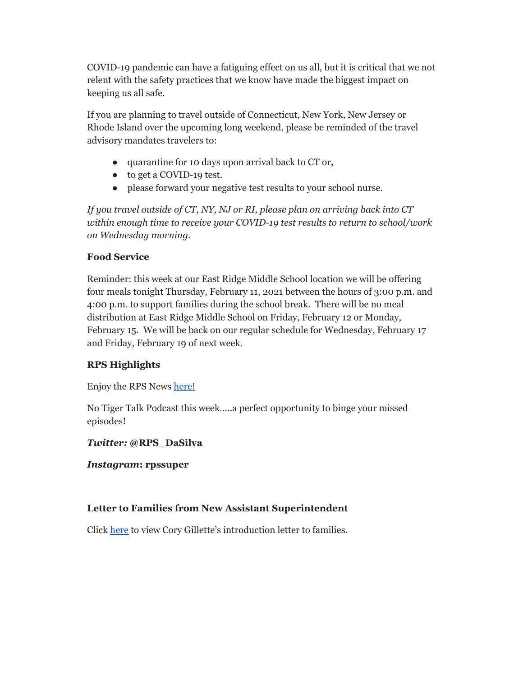COVID-19 pandemic can have a fatiguing effect on us all, but it is critical that we not relent with the safety practices that we know have made the biggest impact on keeping us all safe.

If you are planning to travel outside of Connecticut, New York, New Jersey or Rhode Island over the upcoming long weekend, please be reminded of the travel advisory mandates travelers to:

- quarantine for 10 days upon arrival back to CT or,
- to get a COVID-19 test.
- please forward your negative test results to your school nurse.

*If you travel outside of CT, NY, NJ or RI, please plan on arriving back into CT within enough time to receive your COVID-19 test results to return to school/work on Wednesday morning.*

## **Food Service**

Reminder: this week at our East Ridge Middle School location we will be offering four meals tonight Thursday, February 11, 2021 between the hours of 3:00 p.m. and 4:00 p.m. to support families during the school break. There will be no meal distribution at East Ridge Middle School on Friday, February 12 or Monday, February 15. We will be back on our regular schedule for Wednesday, February 17 and Friday, February 19 of next week.

# **RPS Highlights**

Enjoy the RPS News [here!](https://docs.google.com/document/d/1CP7bnmsG_AXKobZAXI03G087PGDr1CH6DnWeh2A61ho/edit?usp=sharing)

No Tiger Talk Podcast this week…..a perfect opportunity to binge your missed episodes!

## *Twitter:* **@RPS\_DaSilva**

#### *Instagram***: rpssuper**

## **Letter to Families from New Assistant Superintendent**

Click [here](https://drive.google.com/file/d/1pgVT_gCkk0JnwauSOTylG3h9MwjbdmDe/view?usp=sharing) to view Cory Gillette's introduction letter to families.